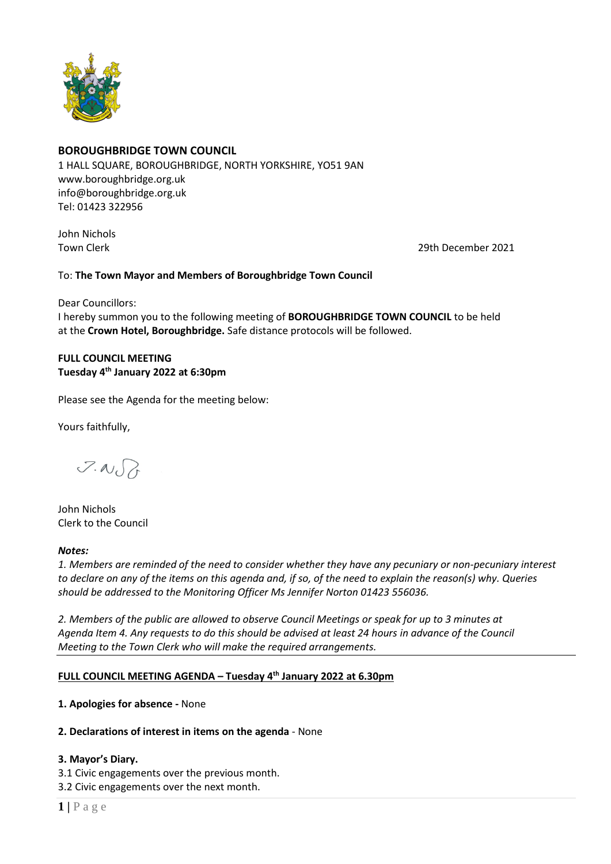

# **BOROUGHBRIDGE TOWN COUNCIL**

1 HALL SQUARE, BOROUGHBRIDGE, NORTH YORKSHIRE, YO51 9AN [www.boroughbridge.org.uk](http://www.boroughbridge.org.uk/) [info@boroughbridge.org.uk](mailto:info@boroughbridge.org.uk) Tel: 01423 322956

John Nichols

Town Clerk 29th December 2021

To: **The Town Mayor and Members of Boroughbridge Town Council**

Dear Councillors: I hereby summon you to the following meeting of **BOROUGHBRIDGE TOWN COUNCIL** to be held at the **Crown Hotel, Boroughbridge.** Safe distance protocols will be followed.

# **FULL COUNCIL MEETING Tuesday 4 th January 2022 at 6:30pm**

Please see the Agenda for the meeting below:

Yours faithfully,

 $7.00$ 

John Nichols Clerk to the Council

# *Notes:*

*1. Members are reminded of the need to consider whether they have any pecuniary or non-pecuniary interest to declare on any of the items on this agenda and, if so, of the need to explain the reason(s) why. Queries should be addressed to the Monitoring Officer Ms Jennifer Norton 01423 556036.* 

*2. Members of the public are allowed to observe Council Meetings or speak for up to 3 minutes at Agenda Item 4. Any requests to do this should be advised at least 24 hours in advance of the Council Meeting to the Town Clerk who will make the required arrangements.* 

# **FULL COUNCIL MEETING AGENDA – Tuesday 4 th January 2022 at 6.30pm**

**1. Apologies for absence -** None

# **2. Declarations of interest in items on the agenda** - None

# **3. Mayor's Diary.**

3.1 Civic engagements over the previous month.

3.2 Civic engagements over the next month.